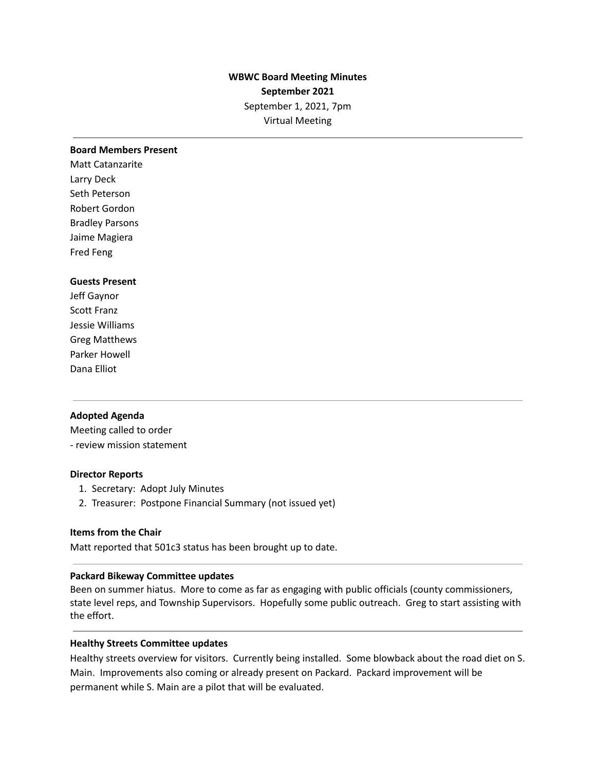# **WBWC Board Meeting Minutes September 2021** September 1, 2021, 7pm Virtual Meeting

#### **Board Members Present**

Matt Catanzarite Larry Deck Seth Peterson Robert Gordon Bradley Parsons Jaime Magiera Fred Feng

### **Guests Present**

Jeff Gaynor Scott Franz Jessie Williams Greg Matthews Parker Howell Dana Elliot

### **Adopted Agenda**

Meeting called to order - review mission statement

### **Director Reports**

- 1. Secretary: Adopt July Minutes
- 2. Treasurer: Postpone Financial Summary (not issued yet)

# **Items from the Chair**

Matt reported that 501c3 status has been brought up to date.

### **Packard Bikeway Committee updates**

Been on summer hiatus. More to come as far as engaging with public officials (county commissioners, state level reps, and Township Supervisors. Hopefully some public outreach. Greg to start assisting with the effort.

#### **Healthy Streets Committee updates**

Healthy streets overview for visitors. Currently being installed. Some blowback about the road diet on S. Main. Improvements also coming or already present on Packard. Packard improvement will be permanent while S. Main are a pilot that will be evaluated.